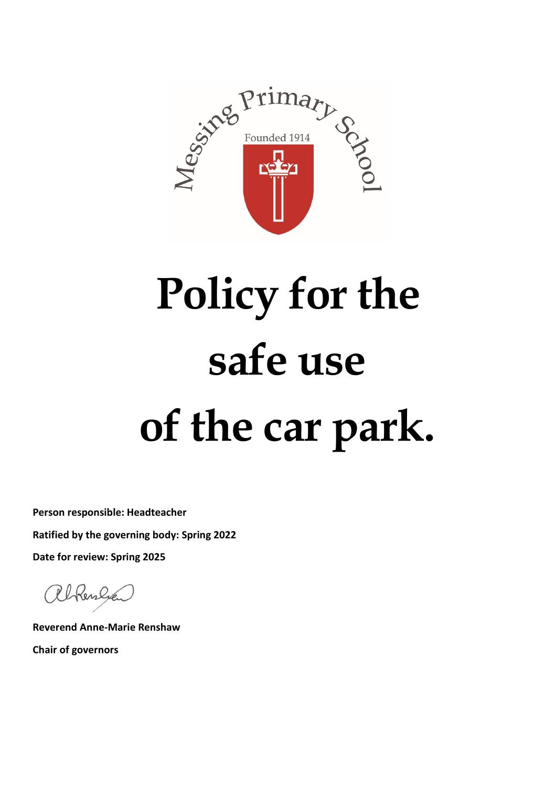

# **Policy for the safe use of the car park.**

**Person responsible: Headteacher Ratified by the governing body: Spring 2022**

**Date for review: Spring 2025**

alkenlye

**Reverend Anne-Marie Renshaw Chair of governors**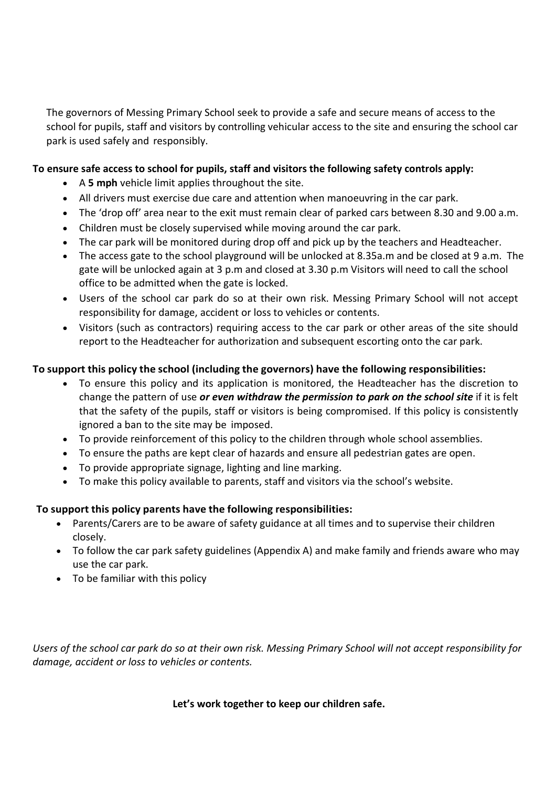The governors of Messing Primary School seek to provide a safe and secure means of access to the school for pupils, staff and visitors by controlling vehicular access to the site and ensuring the school car park is used safely and responsibly.

# **To ensure safe access to school for pupils, staff and visitors the following safety controls apply:**

- A **5 mph** vehicle limit applies throughout the site.
- All drivers must exercise due care and attention when manoeuvring in the car park.
- The 'drop off' area near to the exit must remain clear of parked cars between 8.30 and 9.00 a.m.
- Children must be closely supervised while moving around the car park.
- The car park will be monitored during drop off and pick up by the teachers and Headteacher.
- The access gate to the school playground will be unlocked at 8.35a.m and be closed at 9 a.m. The gate will be unlocked again at 3 p.m and closed at 3.30 p.m Visitors will need to call the school office to be admitted when the gate is locked.
- Users of the school car park do so at their own risk. Messing Primary School will not accept responsibility for damage, accident or loss to vehicles or contents.
- Visitors (such as contractors) requiring access to the car park or other areas of the site should report to the Headteacher for authorization and subsequent escorting onto the car park.

# **To support this policy the school (including the governors) have the following responsibilities:**

- To ensure this policy and its application is monitored, the Headteacher has the discretion to change the pattern of use *or even withdraw the permission to park on the school site* if it is felt that the safety of the pupils, staff or visitors is being compromised. If this policy is consistently ignored a ban to the site may be imposed.
- To provide reinforcement of this policy to the children through whole school assemblies.
- To ensure the paths are kept clear of hazards and ensure all pedestrian gates are open.
- To provide appropriate signage, lighting and line marking.
- To make this policy available to parents, staff and visitors via the school's website.

# **To support this policy parents have the following responsibilities:**

- Parents/Carers are to be aware of safety guidance at all times and to supervise their children closely.
- To follow the car park safety guidelines (Appendix A) and make family and friends aware who may use the car park.
- To be familiar with this policy

*Users of the school car park do so at their own risk. Messing Primary School will not accept responsibility for damage, accident or loss to vehicles or contents.*

**Let's work together to keep our children safe.**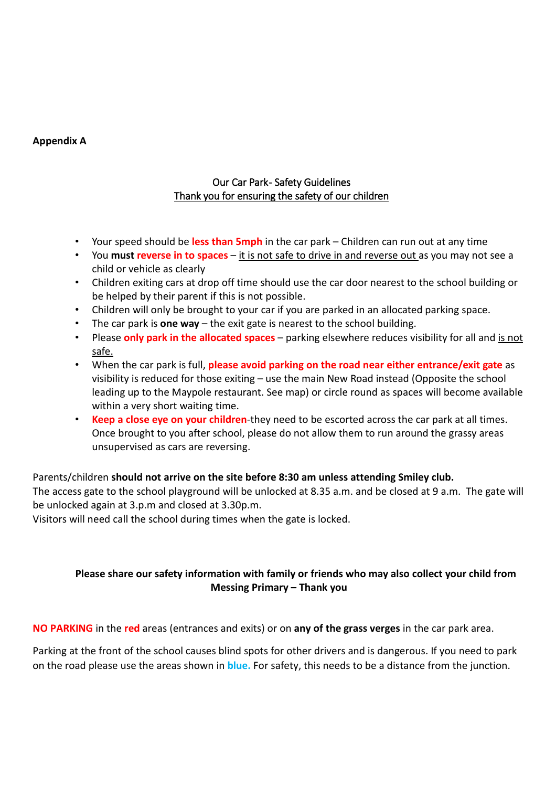#### **Appendix A**

# Our Car Park- Safety Guidelines Thank you for ensuring the safety of our children

- Your speed should be **less than 5mph** in the car park Children can run out at any time
- You **must reverse in to spaces**  it is not safe to drive in and reverse out as you may not see a child or vehicle as clearly
- Children exiting cars at drop off time should use the car door nearest to the school building or be helped by their parent if this is not possible.
- Children will only be brought to your car if you are parked in an allocated parking space.
- The car park is **one way**  the exit gate is nearest to the school building.
- Please **only park in the allocated spaces**  parking elsewhere reduces visibility for all and is not safe.
- When the car park is full, **please avoid parking on the road near either entrance/exit gate** as visibility is reduced for those exiting – use the main New Road instead (Opposite the school leading up to the Maypole restaurant. See map) or circle round as spaces will become available within a very short waiting time.
- **Keep a close eye on your children**-they need to be escorted across the car park at all times. Once brought to you after school, please do not allow them to run around the grassy areas unsupervised as cars are reversing.

#### Parents/children **should not arrive on the site before 8:30 am unless attending Smiley club.**

The access gate to the school playground will be unlocked at 8.35 a.m. and be closed at 9 a.m. The gate will be unlocked again at 3.p.m and closed at 3.30p.m.

Visitors will need call the school during times when the gate is locked.

### **Please share our safety information with family or friends who may also collect your child from Messing Primary – Thank you**

**NO PARKING** in the **red** areas (entrances and exits) or on **any of the grass verges** in the car park area.

Parking at the front of the school causes blind spots for other drivers and is dangerous. If you need to park on the road please use the areas shown in **blue.** For safety, this needs to be a distance from the junction.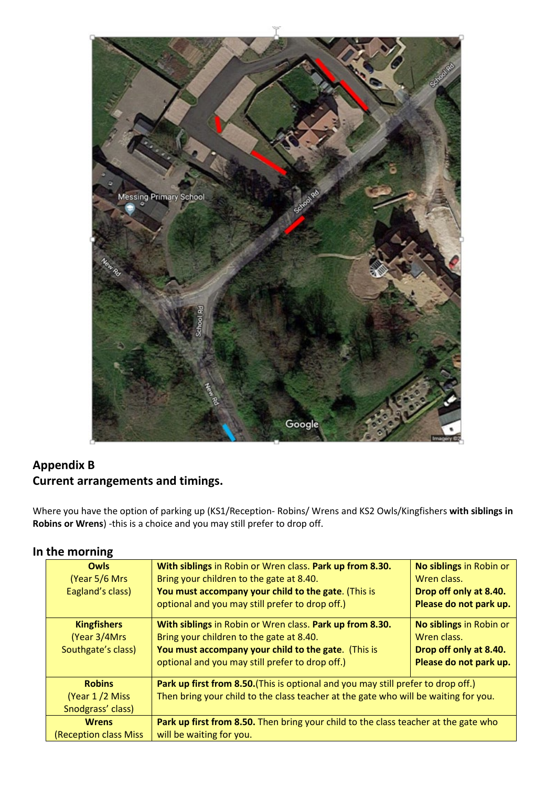

# **Appendix B Current arrangements and timings.**

Where you have the option of parking up (KS1/Reception- Robins/ Wrens and KS2 Owls/Kingfishers **with siblings in Robins or Wrens**) -this is a choice and you may still prefer to drop off.

# **In the morning**

| <b>Owls</b><br>(Year 5/6 Mrs)<br>Eagland's class)                                                   | With siblings in Robin or Wren class. Park up from 8.30.<br>Bring your children to the gate at 8.40.<br>You must accompany your child to the gate. (This is<br>optional and you may still prefer to drop off.) | No siblings in Robin or<br>Wren class.<br>Drop off only at 8.40.<br>Please do not park up. |  |  |
|-----------------------------------------------------------------------------------------------------|----------------------------------------------------------------------------------------------------------------------------------------------------------------------------------------------------------------|--------------------------------------------------------------------------------------------|--|--|
| <b>Kingfishers</b>                                                                                  | With siblings in Robin or Wren class. Park up from 8.30.                                                                                                                                                       | No siblings in Robin or                                                                    |  |  |
| (Year 3/4Mrs)                                                                                       | Bring your children to the gate at 8.40.                                                                                                                                                                       | Wren class.                                                                                |  |  |
| Southgate's class)                                                                                  | You must accompany your child to the gate. (This is                                                                                                                                                            | Drop off only at 8.40.                                                                     |  |  |
|                                                                                                     | optional and you may still prefer to drop off.)                                                                                                                                                                | Please do not park up.                                                                     |  |  |
| <b>Robins</b>                                                                                       | Park up first from 8.50. (This is optional and you may still prefer to drop off.)                                                                                                                              |                                                                                            |  |  |
| (Year 1/2 Miss)                                                                                     | Then bring your child to the class teacher at the gate who will be waiting for you.                                                                                                                            |                                                                                            |  |  |
| Snodgrass' class)                                                                                   |                                                                                                                                                                                                                |                                                                                            |  |  |
| Park up first from 8.50. Then bring your child to the class teacher at the gate who<br><b>Wrens</b> |                                                                                                                                                                                                                |                                                                                            |  |  |
| <b>(Reception class Miss</b><br>will be waiting for you.                                            |                                                                                                                                                                                                                |                                                                                            |  |  |